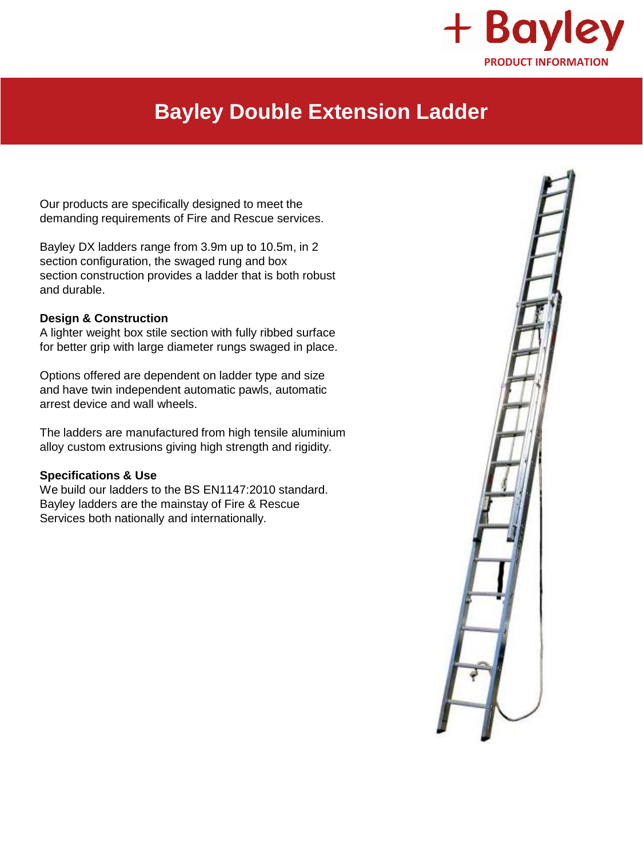

## **Bayley Double Extension Ladder**

Our products are specifically designed to meet the demanding requirements of Fire and Rescue services.

Bayley DX ladders range from 3.9m up to 10.5m, in 2 section configuration, the swaged rung and box section construction provides a ladder that is both robust and durable.

## **Design & Construction**

A lighter weight box stile section with fully ribbed surface for better grip with large diameter rungs swaged in place.

Options offered are dependent on ladder type and size and have twin independent automatic pawls, automatic arrest device and wall wheels.

The ladders are manufactured from high tensile aluminium alloy custom extrusions giving high strength and rigidity.

## **Specifications & Use**

We build our ladders to the BS EN1147:2010 standard. Bayley ladders are the mainstay of Fire & Rescue Services both nationally and internationally.